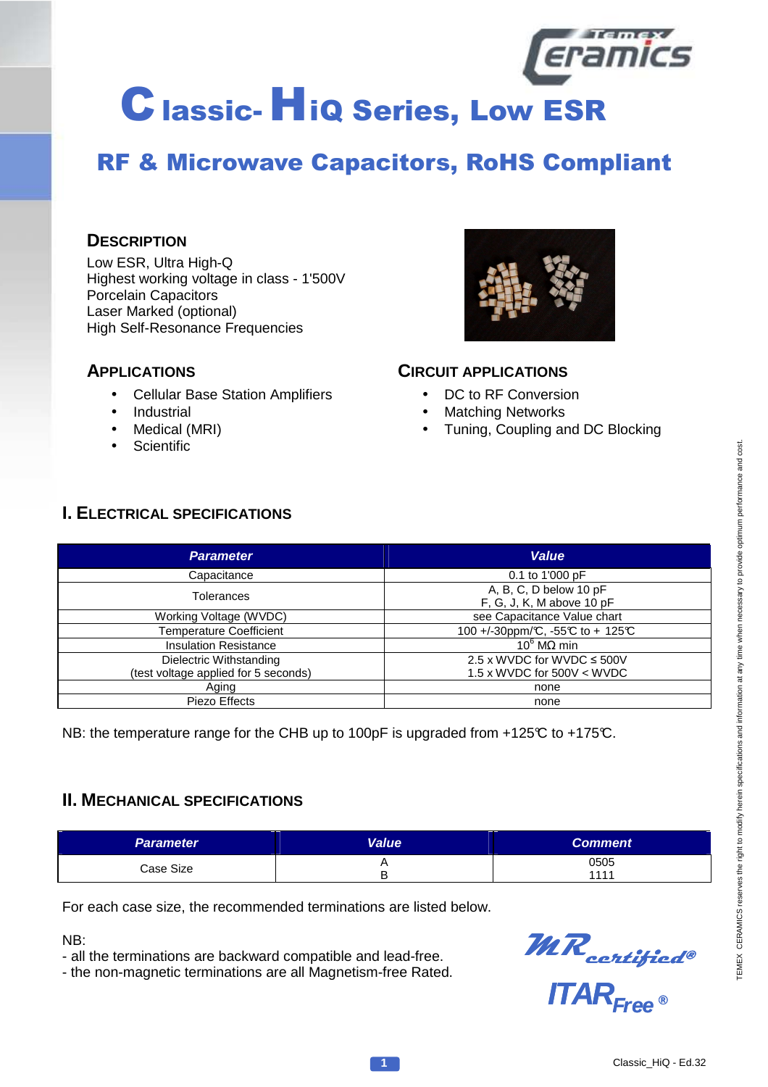

# RF & Microwave Capacitors, RoHS Compliant

### **DESCRIPTION**

Low ESR, Ultra High-Q Highest working voltage in class - 1'500V Porcelain Capacitors Laser Marked (optional) High Self-Resonance Frequencies

#### **APPLICATIONS**

- Cellular Base Station Amplifiers
- **Industrial**
- Medical (MRI)
- **Scientific**



#### **CIRCUIT APPLICATIONS**

- DC to RF Conversion
- **Matching Networks**
- Tuning, Coupling and DC Blocking

## **I. ELECTRICAL SPECIFICATIONS**

| <b>Parameter</b>                                                | <b>Value</b>                                                             |  |  |
|-----------------------------------------------------------------|--------------------------------------------------------------------------|--|--|
| Capacitance                                                     | 0.1 to 1'000 pF                                                          |  |  |
| <b>Tolerances</b>                                               | A, B, C, D below $\overline{10 \text{ pF}}$<br>F, G, J, K, M above 10 pF |  |  |
| Working Voltage (WVDC)                                          | see Capacitance Value chart                                              |  |  |
| <b>Temperature Coefficient</b>                                  | 100 +/-30ppm/℃, -55℃ to + 125℃                                           |  |  |
| <b>Insulation Resistance</b>                                    | $10^6$ MΩ min                                                            |  |  |
| Dielectric Withstanding<br>(test voltage applied for 5 seconds) | 2.5 x WVDC for WVDC $\leq$ 500V<br>1.5 x WVDC for $500V < WVDC$          |  |  |
| Aging                                                           | none                                                                     |  |  |
| Piezo Effects                                                   | none                                                                     |  |  |

NB: the temperature range for the CHB up to 100pF is upgraded from +125°C to +175°C.

### **II. MECHANICAL SPECIFICATIONS**

| <b>Parameter</b> | Value | <b>Comment</b> |
|------------------|-------|----------------|
| Case Size        |       | 0505<br>1111   |

For each case size, the recommended terminations are listed below.

NB:

- all the terminations are backward compatible and lead-free.

- the non-magnetic terminations are all Magnetism-free Rated.



**ITARFree ®**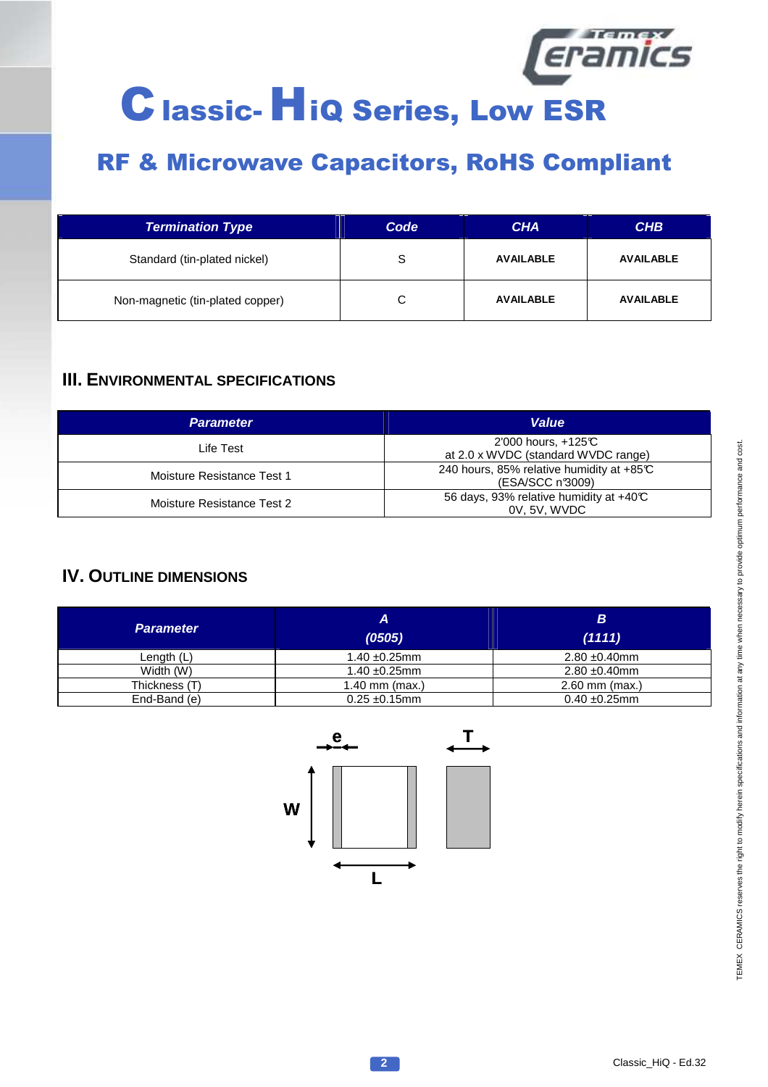

| <b>Termination Type</b>          | Code | <b>CHA</b>       | <b>CHB</b>       |
|----------------------------------|------|------------------|------------------|
| Standard (tin-plated nickel)     | S    | <b>AVAILABLE</b> | <b>AVAILABLE</b> |
| Non-magnetic (tin-plated copper) |      | <b>AVAILABLE</b> | <b>AVAILABLE</b> |

### **III. ENVIRONMENTAL SPECIFICATIONS**

| <b>Parameter</b>           | <b>Value</b>                                                  |
|----------------------------|---------------------------------------------------------------|
| Life Test                  | 2'000 hours, $+125C$<br>at 2.0 x WVDC (standard WVDC range)   |
| Moisture Resistance Test 1 | 240 hours, 85% relative humidity at +85°C<br>(ESA/SCC n'3009) |
| Moisture Resistance Test 2 | 56 days, 93% relative humidity at +40°C<br>0V. 5V. WVDC       |

## **IV. OUTLINE DIMENSIONS**

| <b>Parameter</b> | А<br>(0505)        | B<br>(1111)        |
|------------------|--------------------|--------------------|
| Length $(L)$     | $1.40 \pm 0.25$ mm | $2.80 \pm 0.40$ mm |
| Width (W)        | $1.40 \pm 0.25$ mm | $2.80 \pm 0.40$ mm |
| Thickness (T)    | $1.40$ mm (max.)   | $2.60$ mm (max.)   |
| End-Band (e)     | $0.25 \pm 0.15$ mm | $0.40 \pm 0.25$ mm |

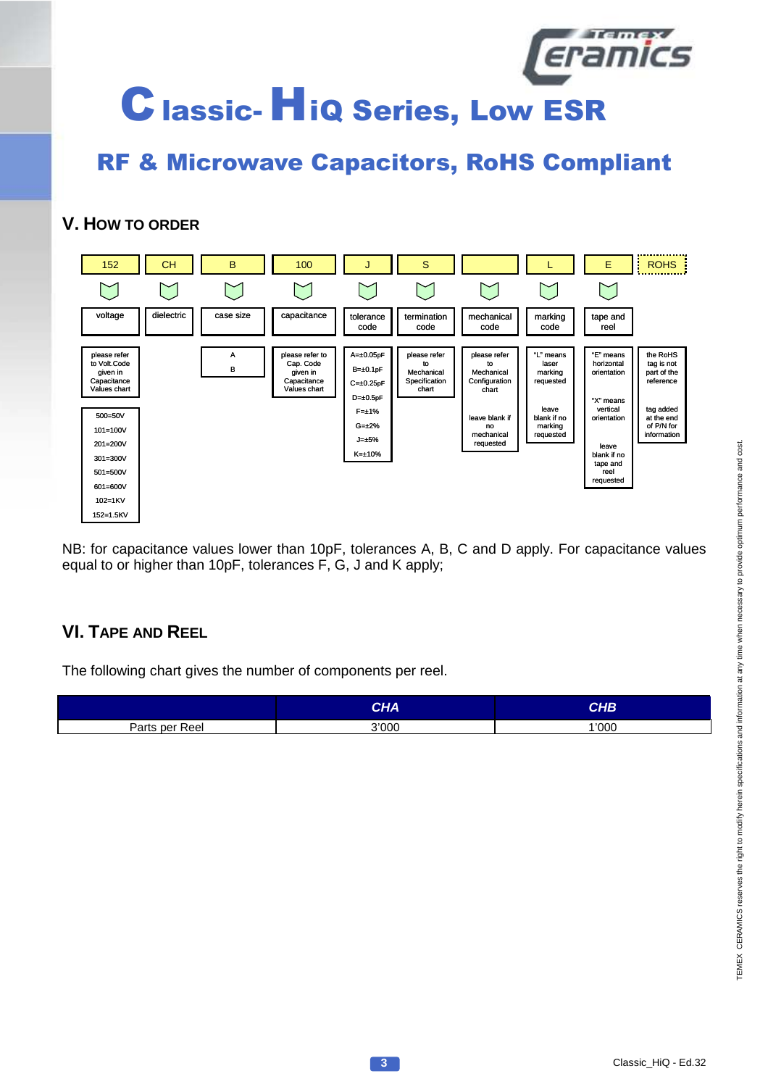

## **V. HOW TO ORDER**



NB: for capacitance values lower than 10pF, tolerances A, B, C and D apply. For capacitance values equal to or higher than 10pF, tolerances F, G, J and K apply;

## **VI. TAPE AND REEL**

The following chart gives the number of components per reel.

|                | CHA   | СНВ   |
|----------------|-------|-------|
| Parts per Reel | 3'000 | 1'000 |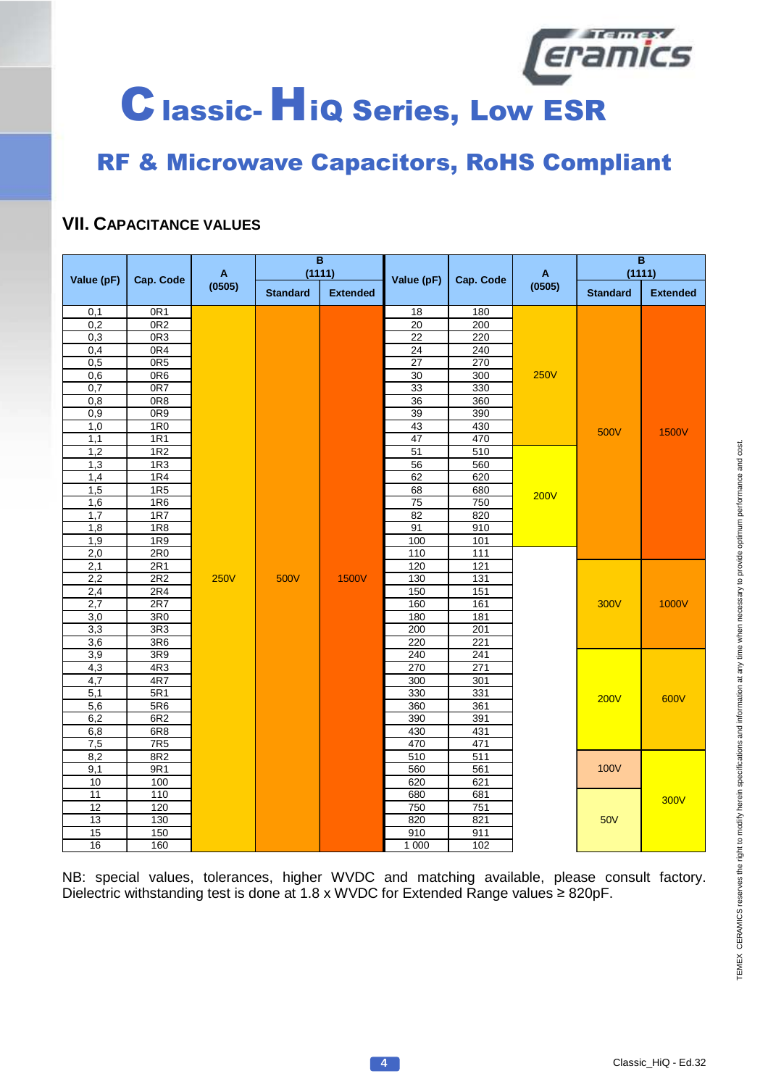

# RF & Microwave Capacitors, RoHS Compliant

## **VII. CAPACITANCE VALUES**

|                 | $\overline{B}$<br>A<br>(1111) |             |                 |                 | A               | $\overline{\mathbf{B}}$<br>(1111) |             |             |              |                 |                 |
|-----------------|-------------------------------|-------------|-----------------|-----------------|-----------------|-----------------------------------|-------------|-------------|--------------|-----------------|-----------------|
| Value (pF)      | Cap. Code                     | (0505)      | <b>Standard</b> | <b>Extended</b> | Value (pF)      |                                   | Cap. Code   |             | (0505)       | <b>Standard</b> | <b>Extended</b> |
| 0,1             | 0R <sub>1</sub>               |             |                 |                 | 18              | 180                               |             |             |              |                 |                 |
| 0,2             | OR2                           |             |                 |                 | $\overline{20}$ | 200                               |             |             |              |                 |                 |
| 0,3             | OR3                           |             |                 |                 | 22              | 220                               |             |             |              |                 |                 |
| 0,4             | OR4                           |             |                 |                 | $\overline{24}$ | 240                               |             |             |              |                 |                 |
| 0,5             | 0R <sub>5</sub>               |             |                 |                 | $\overline{27}$ | 270                               |             |             |              |                 |                 |
| 0,6             | OR6                           |             |                 |                 | $\overline{30}$ | 300                               | <b>250V</b> |             |              |                 |                 |
| 0,7             | OR7                           |             |                 |                 | 33              | 330                               |             |             |              |                 |                 |
| 0,8             | 0R8                           |             |                 |                 | 36              | 360                               |             |             |              |                 |                 |
| 0,9             | 0R9                           |             |                 |                 | 39              | 390                               |             |             |              |                 |                 |
| 1,0             | 1R <sub>0</sub>               |             |                 |                 | 43              | 430                               |             | 500V        | <b>1500V</b> |                 |                 |
| 1,1             | 1R1                           |             |                 |                 | 47              | 470                               |             |             |              |                 |                 |
| 1,2             | 1R2                           |             |                 |                 | 51              | 510                               |             |             |              |                 |                 |
| 1,3             | 1R3                           |             |                 |                 | 56              | 560                               |             |             |              |                 |                 |
| 1,4             | 1R4                           |             |                 |                 | 62              | 620                               |             |             |              |                 |                 |
| 1,5             | 1R5                           |             |                 |                 | 68              | 680                               | <b>200V</b> |             |              |                 |                 |
| 1,6             | 1R6                           |             |                 |                 | $\overline{75}$ | 750                               |             |             |              |                 |                 |
| 1,7             | 1R7                           |             |                 |                 | $\overline{82}$ | 820                               |             |             |              |                 |                 |
| 1,8             | 1R8                           |             |                 |                 | 91              | 910                               |             |             |              |                 |                 |
| 1,9             | 1R9                           |             |                 |                 | 100             | 101                               |             |             |              |                 |                 |
| 2,0             | 2R <sub>0</sub>               |             |                 |                 | 110             | 111                               |             |             |              |                 |                 |
| 2,1             | 2R1                           |             |                 |                 | 120             | $\overline{121}$                  |             |             |              |                 |                 |
| 2,2             | 2R2                           | <b>250V</b> | 500V            | <b>1500V</b>    | 130             | $\overline{131}$                  |             |             |              |                 |                 |
| 2,4             | 2R4<br>2R7                    |             |                 |                 | 150<br>160      | 151<br>161                        |             | 300V        | 1000V        |                 |                 |
| 2,7<br>3,0      | 3R <sub>0</sub>               |             |                 |                 | 180             | 181                               |             |             |              |                 |                 |
|                 | 3R3                           |             |                 |                 | 200             | 201                               |             |             |              |                 |                 |
| 3,3<br>3,6      | 3R <sub>6</sub>               |             |                 |                 | 220             | 221                               |             |             |              |                 |                 |
| 3,9             | 3R9                           |             |                 |                 | 240             | 241                               |             |             |              |                 |                 |
| 4,3             | 4R3                           |             |                 |                 | 270             | 271                               |             |             |              |                 |                 |
| 4,7             | 4R7                           |             |                 |                 | 300             | 301                               |             |             |              |                 |                 |
| 5,1             | 5R1                           |             |                 |                 | 330             | 331                               |             |             |              |                 |                 |
| 5,6             | 5R6                           |             |                 |                 | 360             | 361                               |             | <b>200V</b> | 600V         |                 |                 |
| 6,2             | 6R2                           |             |                 |                 | 390             | 391                               |             |             |              |                 |                 |
| 6,8             | 6R8                           |             |                 |                 | 430             | 431                               |             |             |              |                 |                 |
| 7,5             | 7R5                           |             |                 |                 | 470             | 471                               |             |             |              |                 |                 |
| 8,2             | 8R2                           |             |                 |                 | 510             | 511                               |             |             |              |                 |                 |
| 9,1             | 9R1                           |             |                 |                 | 560             | 561                               |             | <b>100V</b> |              |                 |                 |
| 10              | 100                           |             |                 |                 | 620             | 621                               |             |             |              |                 |                 |
| 11              | 110                           |             |                 |                 | 680             | 681                               |             |             | <b>300V</b>  |                 |                 |
| $\overline{12}$ | 120                           |             |                 |                 | 750             | 751                               |             |             |              |                 |                 |
| 13              | 130                           |             |                 |                 | 820             | 821                               |             | 50V         |              |                 |                 |
| 15              | 150                           |             |                 |                 | 910             | 911                               |             |             |              |                 |                 |
| 16              | 160                           |             |                 |                 | 1 0 0 0         | 102                               |             |             |              |                 |                 |

NB: special values, tolerances, higher WVDC and matching available, please consult factory. Dielectric withstanding test is done at 1.8 x WVDC for Extended Range values ≥ 820pF.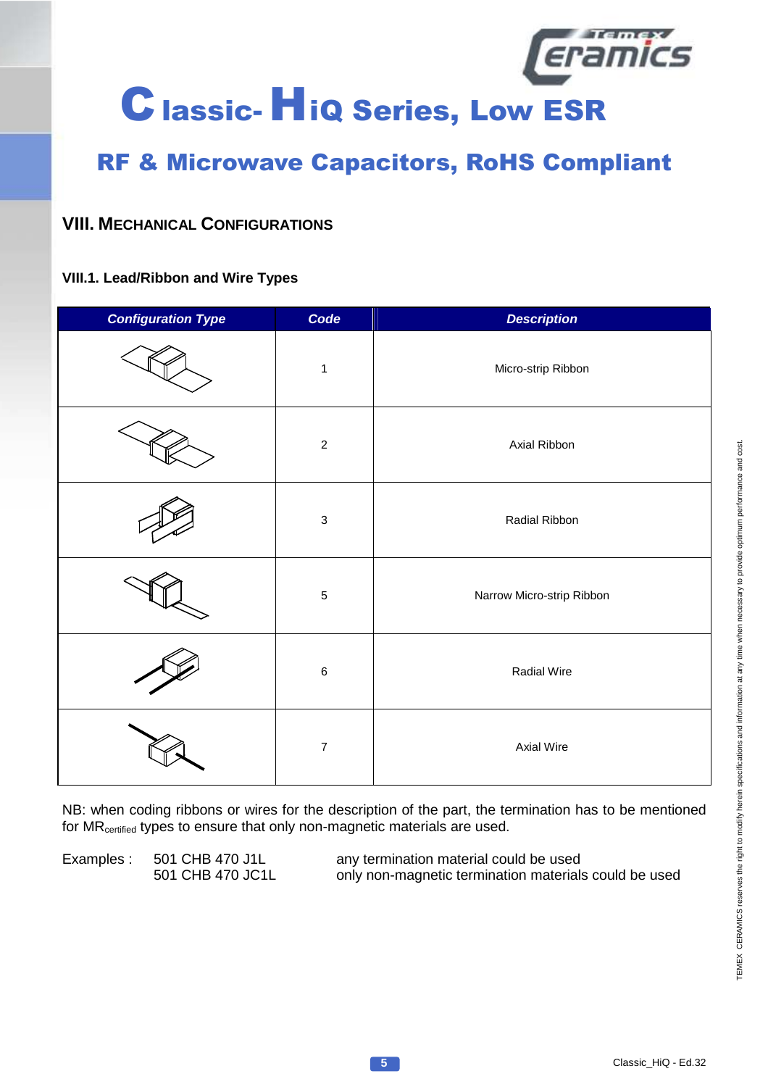

# RF & Microwave Capacitors, RoHS Compliant

## **VIII. MECHANICAL CONFIGURATIONS**

#### **VIII.1. Lead/Ribbon and Wire Types**

| <b>Configuration Type</b> | Code                      | <b>Description</b>        |
|---------------------------|---------------------------|---------------------------|
|                           | $\mathbf 1$               | Micro-strip Ribbon        |
|                           | $\sqrt{2}$                | Axial Ribbon              |
|                           | $\ensuremath{\mathsf{3}}$ | Radial Ribbon             |
|                           | $\mathbf 5$               | Narrow Micro-strip Ribbon |
|                           | $\,6\,$                   | Radial Wire               |
|                           | $\overline{\mathbf{7}}$   | <b>Axial Wire</b>         |

NB: when coding ribbons or wires for the description of the part, the termination has to be mentioned for MR<sub>certified</sub> types to ensure that only non-magnetic materials are used.

Examples : 501 CHB 470 J1L any termination material could be used<br>501 CHB 470 JC1L only non-magnetic termination materials only non-magnetic termination materials could be used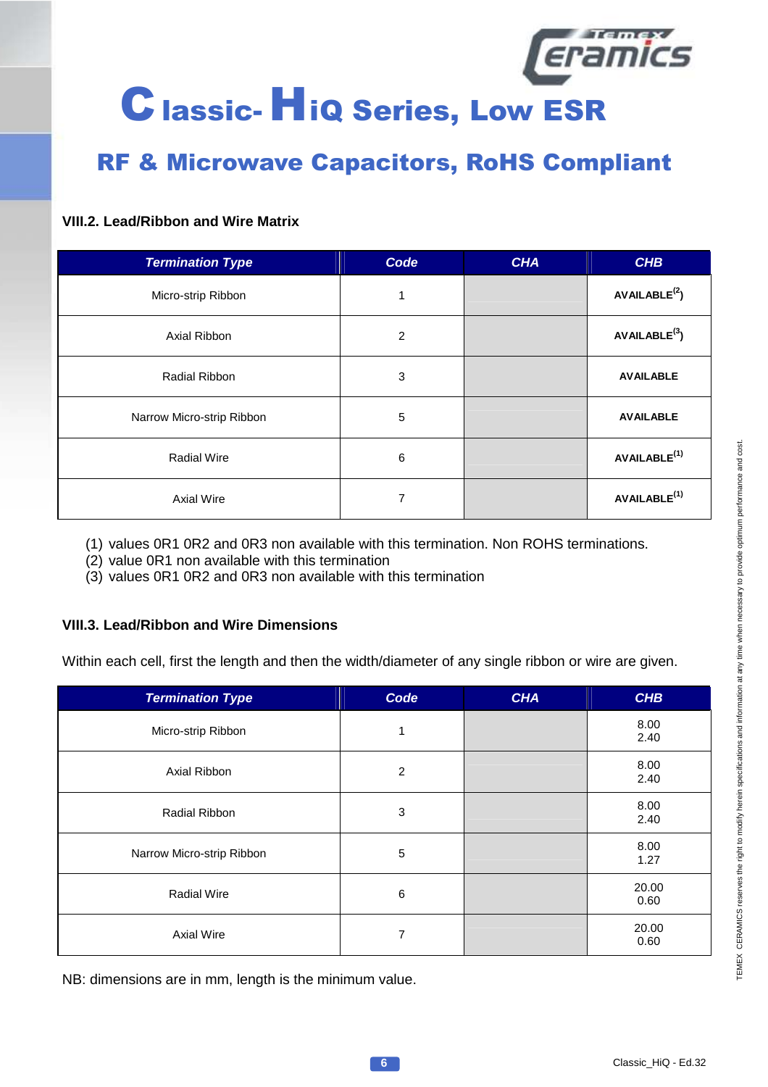

# RF & Microwave Capacitors, RoHS Compliant

#### **VIII.2. Lead/Ribbon and Wire Matrix**

| <b>Termination Type</b>   | Code | <b>CHA</b> | <b>CHB</b>                |
|---------------------------|------|------------|---------------------------|
| Micro-strip Ribbon        |      |            | AVAILABLE <sup>(2</sup> ) |
| Axial Ribbon              | 2    |            | AVAILABLE <sup>(3)</sup>  |
| Radial Ribbon             | 3    |            | <b>AVAILABLE</b>          |
| Narrow Micro-strip Ribbon | 5    |            | <b>AVAILABLE</b>          |
| <b>Radial Wire</b>        | 6    |            | AVAILABLE <sup>(1)</sup>  |
| Axial Wire                | 7    |            | AVAILABLE <sup>(1)</sup>  |

(1) values 0R1 0R2 and 0R3 non available with this termination. Non ROHS terminations.

(2) value 0R1 non available with this termination

(3) values 0R1 0R2 and 0R3 non available with this termination

#### **VIII.3. Lead/Ribbon and Wire Dimensions**

Within each cell, first the length and then the width/diameter of any single ribbon or wire are given.

| $\overline{\phantom{a}}$<br><b>Termination Type</b> | Code           | <b>CHA</b> | <b>CHB</b>    |
|-----------------------------------------------------|----------------|------------|---------------|
| Micro-strip Ribbon                                  | 1              |            | 8.00<br>2.40  |
| Axial Ribbon                                        | $\overline{2}$ |            | 8.00<br>2.40  |
| Radial Ribbon                                       | 3              |            | 8.00<br>2.40  |
| Narrow Micro-strip Ribbon                           | 5              |            | 8.00<br>1.27  |
| <b>Radial Wire</b>                                  | 6              |            | 20.00<br>0.60 |
| <b>Axial Wire</b>                                   | 7              |            | 20.00<br>0.60 |

NB: dimensions are in mm, length is the minimum value.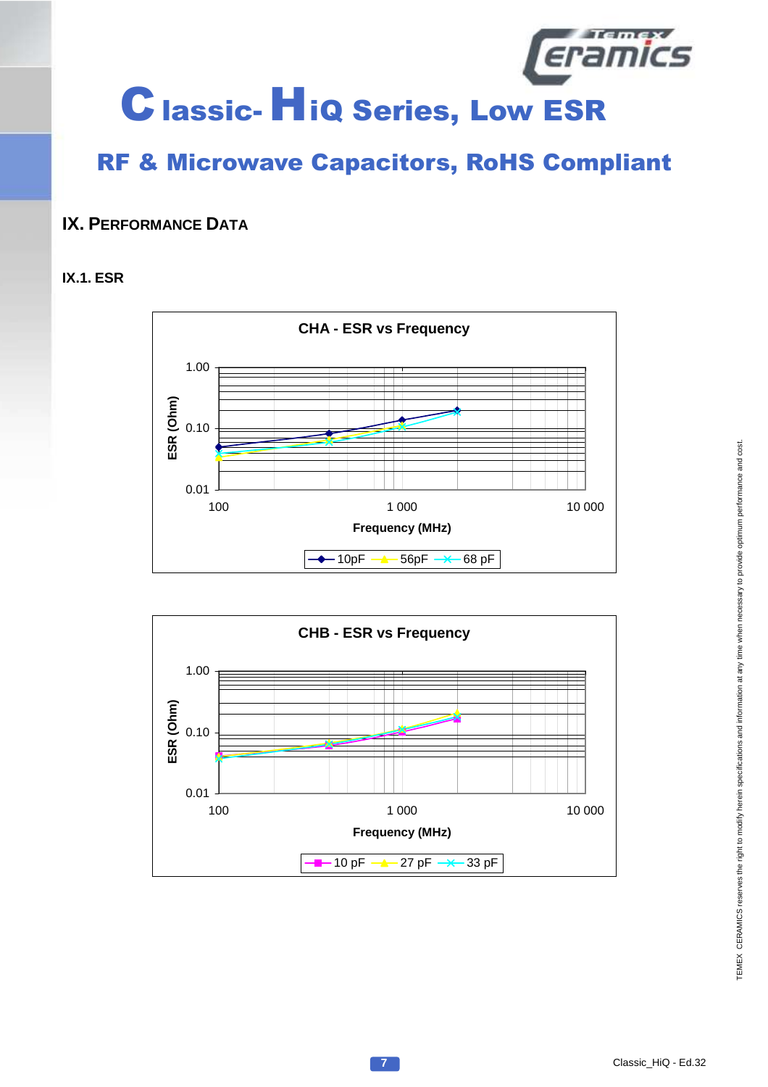

# RF & Microwave Capacitors, RoHS Compliant

## **IX. PERFORMANCE DATA**

#### **IX.1. ESR**



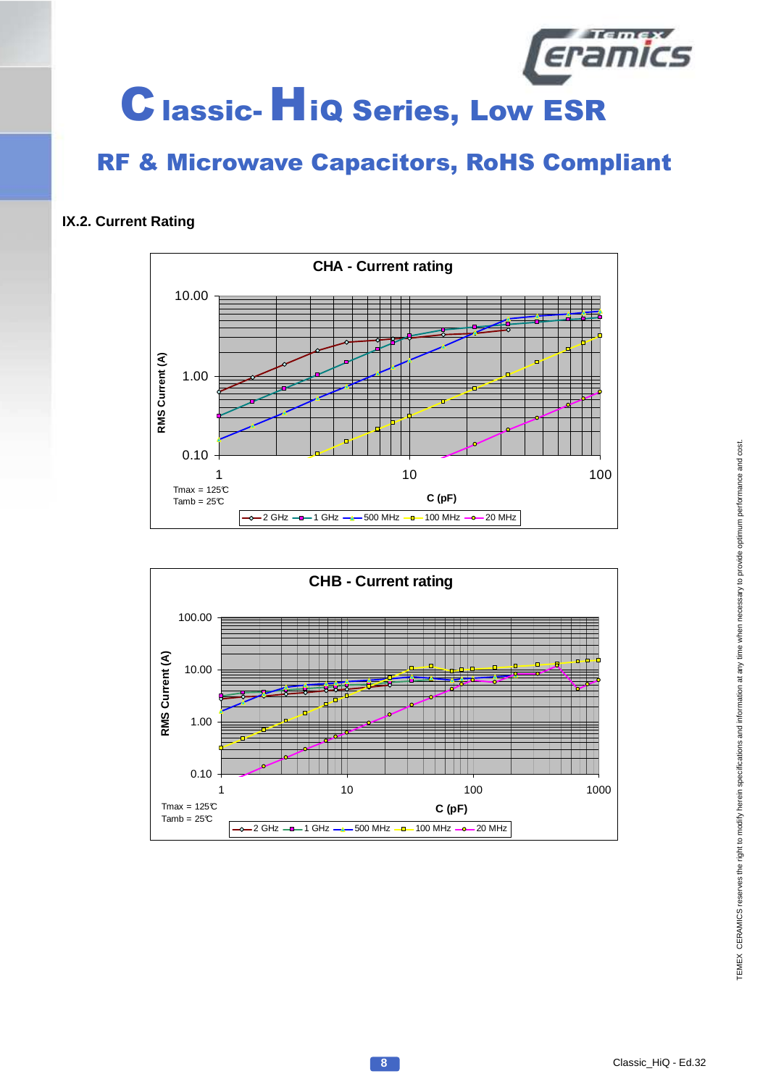

#### **IX.2. Current Rating**



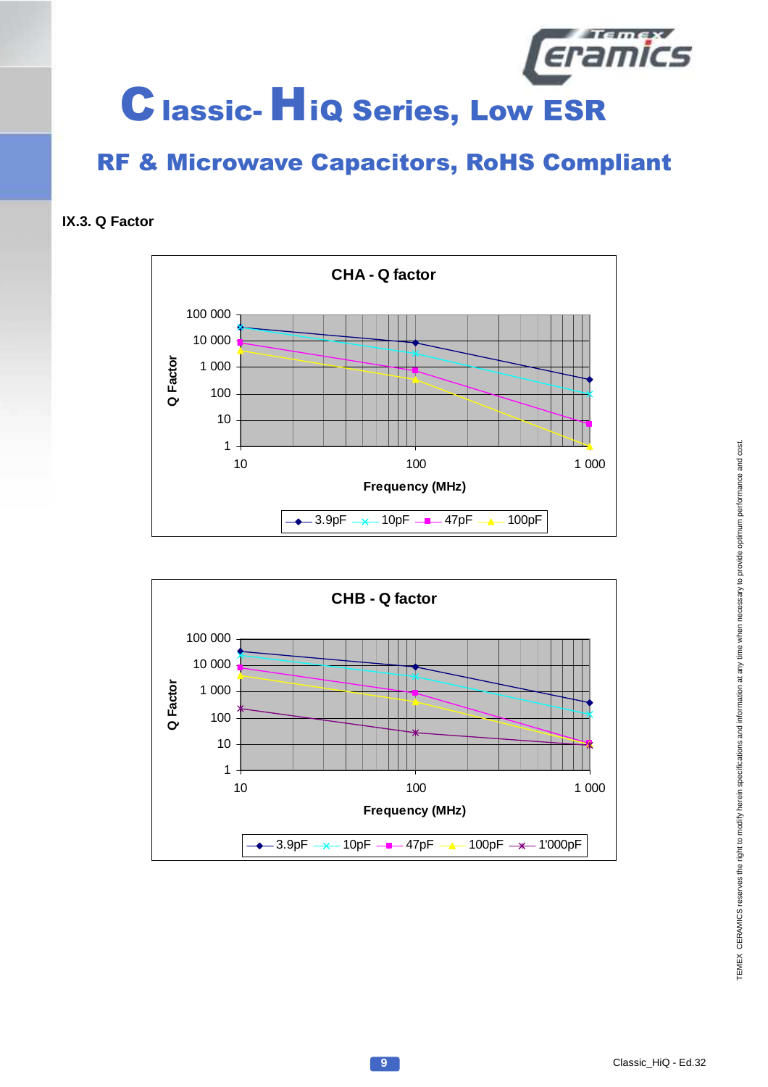

**IX.3. Q Factor**